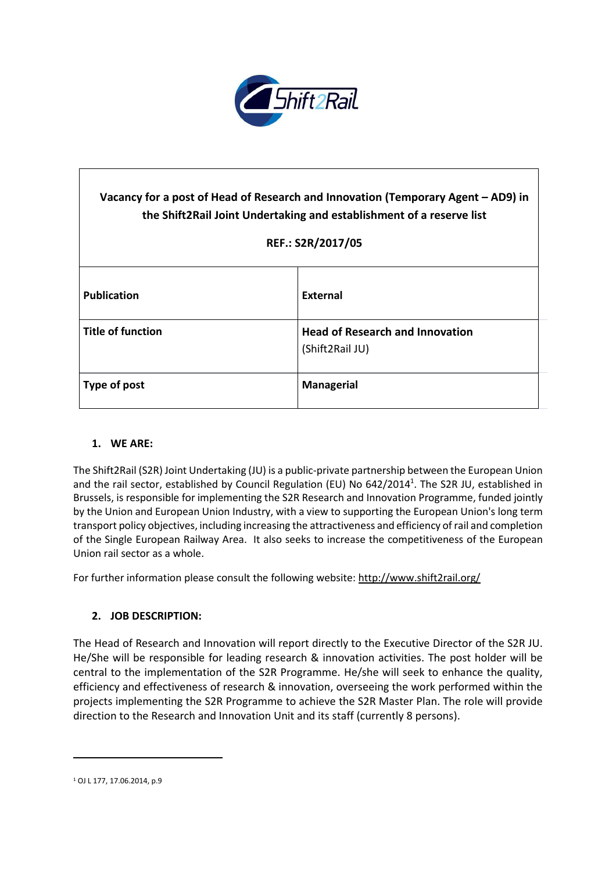

| Vacancy for a post of Head of Research and Innovation (Temporary Agent – AD9) in<br>the Shift2Rail Joint Undertaking and establishment of a reserve list<br>REF.: S2R/2017/05 |                                                           |
|-------------------------------------------------------------------------------------------------------------------------------------------------------------------------------|-----------------------------------------------------------|
| <b>Publication</b>                                                                                                                                                            | External                                                  |
| <b>Title of function</b>                                                                                                                                                      | <b>Head of Research and Innovation</b><br>(Shift2Rail JU) |
| Type of post                                                                                                                                                                  | <b>Managerial</b>                                         |

### **1. WE ARE:**

The Shift2Rail (S2R) Joint Undertaking (JU) is a public-private partnership between the European Union and the rail sector, established by Council Regulation (EU) No 642/2014<sup>1</sup>. The S2R JU, established in Brussels, is responsible for implementing the S2R Research and Innovation Programme, funded jointly by the Union and European Union Industry, with a view to supporting the European Union's long term transport policy objectives, including increasing the attractiveness and efficiency ofrail and completion of the Single European Railway Area. It also seeks to increase the competitiveness of the European Union rail sector as a whole.

For further information please consult the following website: <http://www.shift2rail.org/>

### **2. JOB DESCRIPTION:**

The Head of Research and Innovation will report directly to the Executive Director of the S2R JU. He/She will be responsible for leading research & innovation activities. The post holder will be central to the implementation of the S2R Programme. He/she will seek to enhance the quality, efficiency and effectiveness of research & innovation, overseeing the work performed within the projects implementing the S2R Programme to achieve the S2R Master Plan. The role will provide direction to the Research and Innovation Unit and its staff (currently 8 persons).

 $\ddot{\phantom{a}}$ 

<sup>1</sup> OJ L 177, 17.06.2014, p.9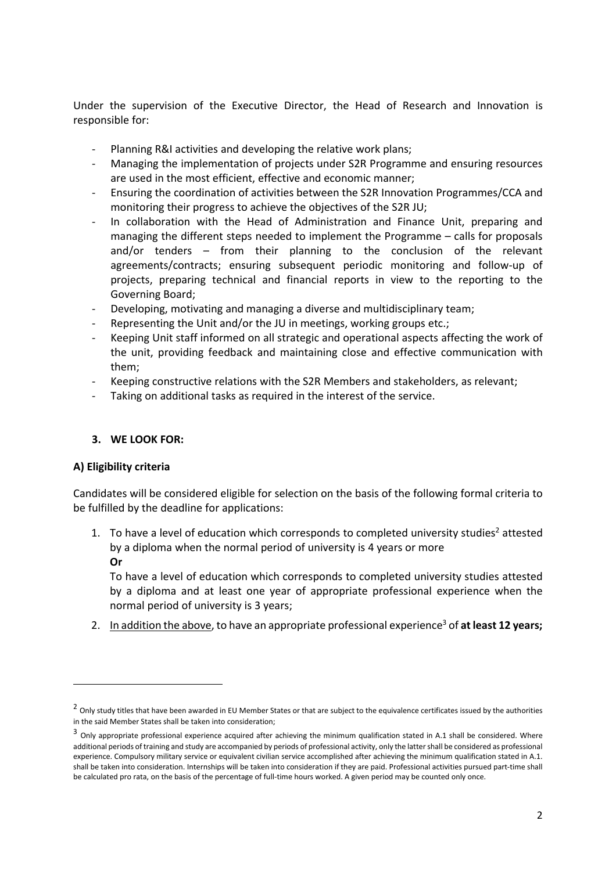Under the supervision of the Executive Director, the Head of Research and Innovation is responsible for:

- Planning R&I activities and developing the relative work plans;
- Managing the implementation of projects under S2R Programme and ensuring resources are used in the most efficient, effective and economic manner;
- Ensuring the coordination of activities between the S2R Innovation Programmes/CCA and monitoring their progress to achieve the objectives of the S2R JU;
- In collaboration with the Head of Administration and Finance Unit, preparing and managing the different steps needed to implement the Programme – calls for proposals and/or tenders – from their planning to the conclusion of the relevant agreements/contracts; ensuring subsequent periodic monitoring and follow-up of projects, preparing technical and financial reports in view to the reporting to the Governing Board;
- Developing, motivating and managing a diverse and multidisciplinary team;
- Representing the Unit and/or the JU in meetings, working groups etc.;
- Keeping Unit staff informed on all strategic and operational aspects affecting the work of the unit, providing feedback and maintaining close and effective communication with them;
- Keeping constructive relations with the S2R Members and stakeholders, as relevant;
- Taking on additional tasks as required in the interest of the service.

### **3. WE LOOK FOR:**

### **A) Eligibility criteria**

 $\overline{a}$ 

Candidates will be considered eligible for selection on the basis of the following formal criteria to be fulfilled by the deadline for applications:

1. To have a level of education which corresponds to completed university studies<sup>2</sup> attested by a diploma when the normal period of university is 4 years or more **Or**

To have a level of education which corresponds to completed university studies attested by a diploma and at least one year of appropriate professional experience when the normal period of university is 3 years;

2. In addition the above, to have an appropriate professional experience<sup>3</sup> of **at least 12 years;**

<sup>&</sup>lt;sup>2</sup> Only study titles that have been awarded in EU Member States or that are subject to the equivalence certificates issued by the authorities in the said Member States shall be taken into consideration;

<sup>&</sup>lt;sup>3</sup> Only appropriate professional experience acquired after achieving the minimum qualification stated in A.1 shall be considered. Where additional periods of training and study are accompanied by periods of professional activity, only the lattershall be considered as professional experience. Compulsory military service or equivalent civilian service accomplished after achieving the minimum qualification stated in A.1. shall be taken into consideration. Internships will be taken into consideration if they are paid. Professional activities pursued part-time shall be calculated pro rata, on the basis of the percentage of full-time hours worked. A given period may be counted only once.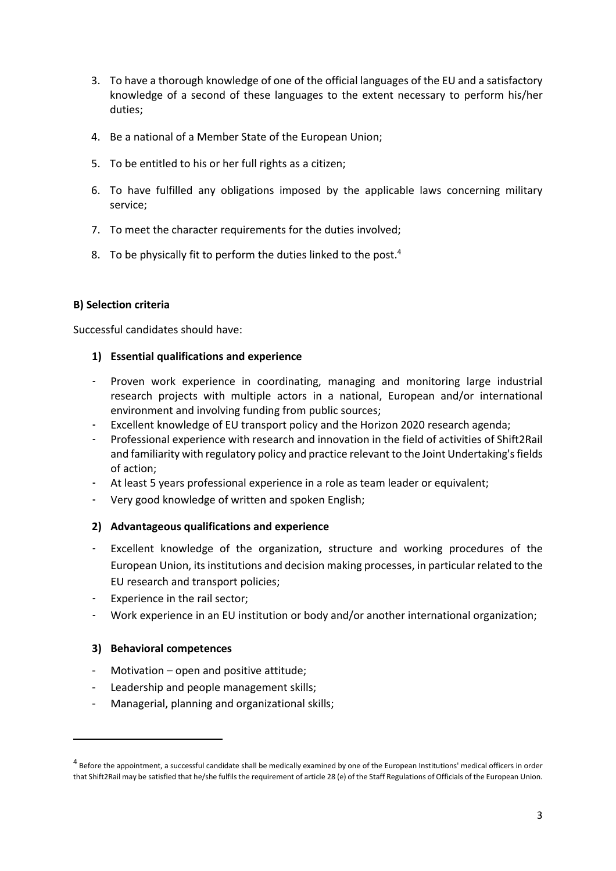- 3. To have a thorough knowledge of one of the official languages of the EU and a satisfactory knowledge of a second of these languages to the extent necessary to perform his/her duties;
- 4. Be a national of a Member State of the European Union;
- 5. To be entitled to his or her full rights as a citizen;
- 6. To have fulfilled any obligations imposed by the applicable laws concerning military service;
- 7. To meet the character requirements for the duties involved;
- 8. To be physically fit to perform the duties linked to the post.<sup>4</sup>

## **B) Selection criteria**

Successful candidates should have:

## **1) Essential qualifications and experience**

- Proven work experience in coordinating, managing and monitoring large industrial research projects with multiple actors in a national, European and/or international environment and involving funding from public sources;
- Excellent knowledge of EU transport policy and the Horizon 2020 research agenda;
- Professional experience with research and innovation in the field of activities of Shift2Rail and familiarity with regulatory policy and practice relevant to the Joint Undertaking's fields of action;
- At least 5 years professional experience in a role as team leader or equivalent;
- Very good knowledge of written and spoken English;

### **2) Advantageous qualifications and experience**

- Excellent knowledge of the organization, structure and working procedures of the European Union, itsinstitutions and decision making processes, in particular related to the EU research and transport policies;
- Experience in the rail sector;
- Work experience in an EU institution or body and/or another international organization;

### **3) Behavioral competences**

 $\ddot{\phantom{a}}$ 

- Motivation open and positive attitude;
- Leadership and people management skills;
- Managerial, planning and organizational skills;

 $^4$  Before the appointment, a successful candidate shall be medically examined by one of the European Institutions' medical officers in order that Shift2Rail may be satisfied that he/she fulfils the requirement of article 28 (e) of the Staff Regulations of Officials of the European Union.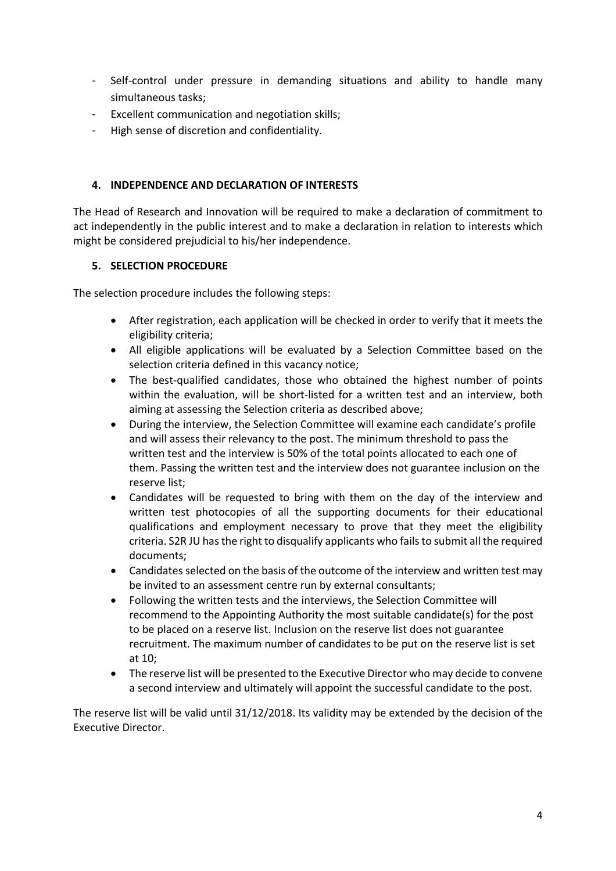- Self-control under pressure in demanding situations and ability to handle many simultaneous tasks;
- Excellent communication and negotiation skills;
- High sense of discretion and confidentiality.

# **4. INDEPENDENCE AND DECLARATION OF INTERESTS**

The Head of Research and Innovation will be required to make a declaration of commitment to act independently in the public interest and to make a declaration in relation to interests which might be considered prejudicial to his/her independence.

# **5. SELECTION PROCEDURE**

The selection procedure includes the following steps:

- After registration, each application will be checked in order to verify that it meets the eligibility criteria;
- All eligible applications will be evaluated by a Selection Committee based on the selection criteria defined in this vacancy notice;
- The best-qualified candidates, those who obtained the highest number of points within the evaluation, will be short-listed for a written test and an interview, both aiming at assessing the Selection criteria as described above;
- During the interview, the Selection Committee will examine each candidate's profile and will assess their relevancy to the post. The minimum threshold to pass the written test and the interview is 50% of the total points allocated to each one of them. Passing the written test and the interview does not guarantee inclusion on the reserve list;
- Candidates will be requested to bring with them on the day of the interview and written test photocopies of all the supporting documents for their educational qualifications and employment necessary to prove that they meet the eligibility criteria. S2R JU has the right to disqualify applicants who fails to submit all the required documents;
- Candidates selected on the basis of the outcome of the interview and written test may be invited to an assessment centre run by external consultants;
- Following the written tests and the interviews, the Selection Committee will recommend to the Appointing Authority the most suitable candidate(s) for the post to be placed on a reserve list. Inclusion on the reserve list does not guarantee recruitment. The maximum number of candidates to be put on the reserve list is set at 10;
- The reserve list will be presented to the Executive Director who may decide to convene a second interview and ultimately will appoint the successful candidate to the post.

The reserve list will be valid until 31/12/2018. Its validity may be extended by the decision of the Executive Director.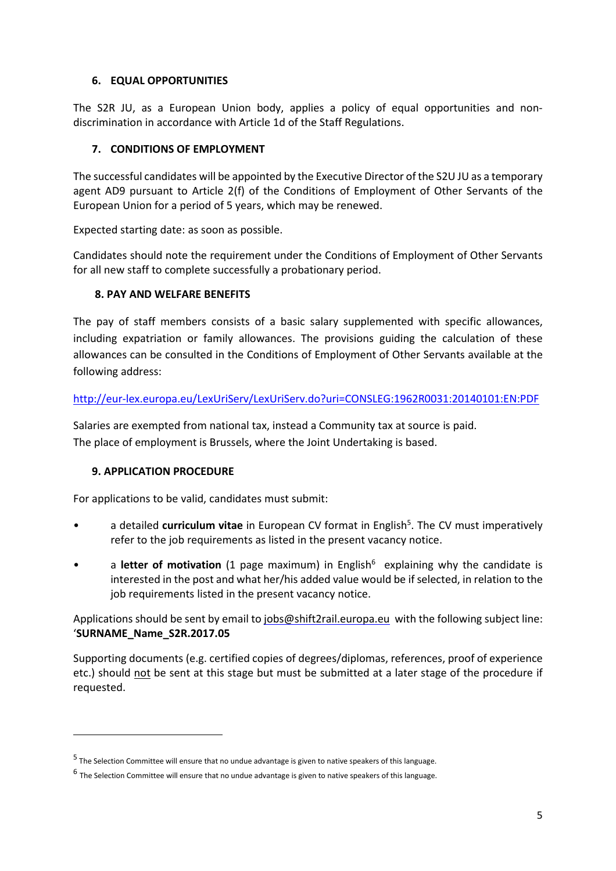## **6. EQUAL OPPORTUNITIES**

The S2R JU, as a European Union body, applies a policy of equal opportunities and nondiscrimination in accordance with Article 1d of the Staff Regulations.

## **7. CONDITIONS OF EMPLOYMENT**

The successful candidates will be appointed by the Executive Director of the S2U JU as a temporary agent AD9 pursuant to Article 2(f) of the Conditions of Employment of Other Servants of the European Union for a period of 5 years, which may be renewed.

Expected starting date: as soon as possible.

Candidates should note the requirement under the Conditions of Employment of Other Servants for all new staff to complete successfully a probationary period.

## **8. PAY AND WELFARE BENEFITS**

The pay of staff members consists of a basic salary supplemented with specific allowances, including expatriation or family allowances. The provisions guiding the calculation of these allowances can be consulted in the Conditions of Employment of Other Servants available at the following address:

### <http://eur-lex.europa.eu/LexUriServ/LexUriServ.do?uri=CONSLEG:1962R0031:20140101:EN:PDF>

Salaries are exempted from national tax, instead a Community tax at source is paid. The place of employment is Brussels, where the Joint Undertaking is based.

### **9. APPLICATION PROCEDURE**

 $\ddot{\phantom{a}}$ 

For applications to be valid, candidates must submit:

- a detailed **curriculum vitae** in European CV format in English<sup>5</sup>. The CV must imperatively refer to the job requirements as listed in the present vacancy notice.
- a letter of motivation (1 page maximum) in English<sup>6</sup> explaining why the candidate is interested in the post and what her/his added value would be if selected, in relation to the job requirements listed in the present vacancy notice.

Applications should be sent by email to [jobs@shift2rail.europa.eu](mailto:jobs@shift2rail.europa.eu) with the following subject line: '**SURNAME\_Name\_S2R.2017.05**

Supporting documents (e.g. certified copies of degrees/diplomas, references, proof of experience etc.) should not be sent at this stage but must be submitted at a later stage of the procedure if requested.

<sup>&</sup>lt;sup>5</sup> The Selection Committee will ensure that no undue advantage is given to native speakers of this language.

<sup>&</sup>lt;sup>6</sup> The Selection Committee will ensure that no undue advantage is given to native speakers of this language.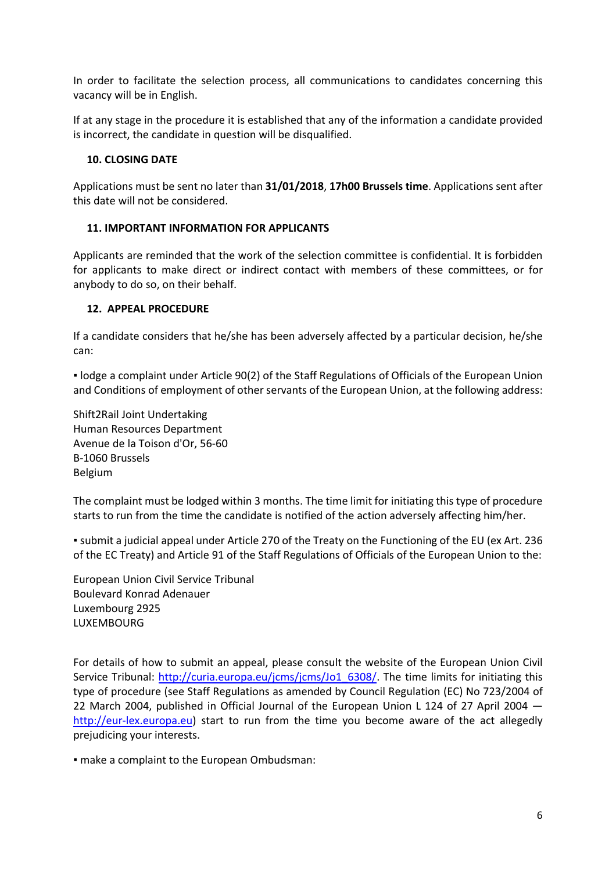In order to facilitate the selection process, all communications to candidates concerning this vacancy will be in English.

If at any stage in the procedure it is established that any of the information a candidate provided is incorrect, the candidate in question will be disqualified.

### **10. CLOSING DATE**

Applications must be sent no later than **31/01/2018**, **17h00 Brussels time**. Applications sent after this date will not be considered.

## **11. IMPORTANT INFORMATION FOR APPLICANTS**

Applicants are reminded that the work of the selection committee is confidential. It is forbidden for applicants to make direct or indirect contact with members of these committees, or for anybody to do so, on their behalf.

### **12. APPEAL PROCEDURE**

If a candidate considers that he/she has been adversely affected by a particular decision, he/she can:

▪ lodge a complaint under Article 90(2) of the Staff Regulations of Officials of the European Union and Conditions of employment of other servants of the European Union, at the following address:

Shift2Rail Joint Undertaking Human Resources Department Avenue de la Toison d'Or, 56-60 B-1060 Brussels Belgium

The complaint must be lodged within 3 months. The time limit for initiating this type of procedure starts to run from the time the candidate is notified of the action adversely affecting him/her.

▪ submit a judicial appeal under Article 270 of the Treaty on the Functioning of the EU (ex Art. 236 of the EC Treaty) and Article 91 of the Staff Regulations of Officials of the European Union to the:

European Union Civil Service Tribunal Boulevard Konrad Adenauer Luxembourg 2925 **LUXEMBOURG** 

For details of how to submit an appeal, please consult the website of the European Union Civil Service Tribunal: [http://curia.europa.eu/jcms/jcms/Jo1\\_6308/.](http://curia.europa.eu/jcms/jcms/Jo1_6308/) The time limits for initiating this type of procedure (see Staff Regulations as amended by Council Regulation (EC) No 723/2004 of 22 March 2004, published in Official Journal of the European Union L 124 of 27 April 2004 [http://eur-lex.europa.eu\)](http://eur-lex.europa.eu/) start to run from the time you become aware of the act allegedly prejudicing your interests.

▪ make a complaint to the European Ombudsman: